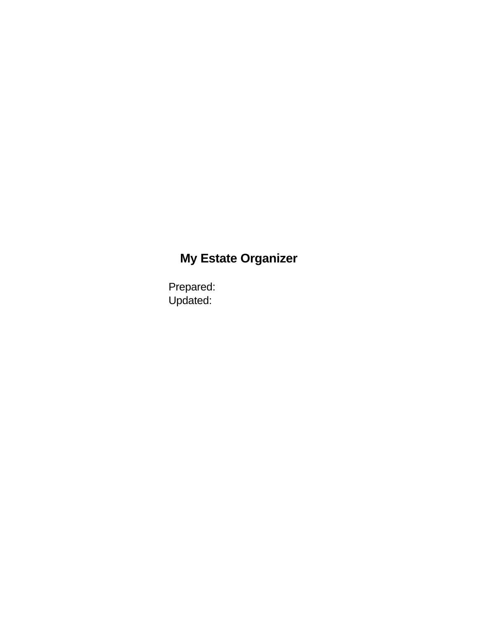# **My Estate Organizer**

Prepared: Updated: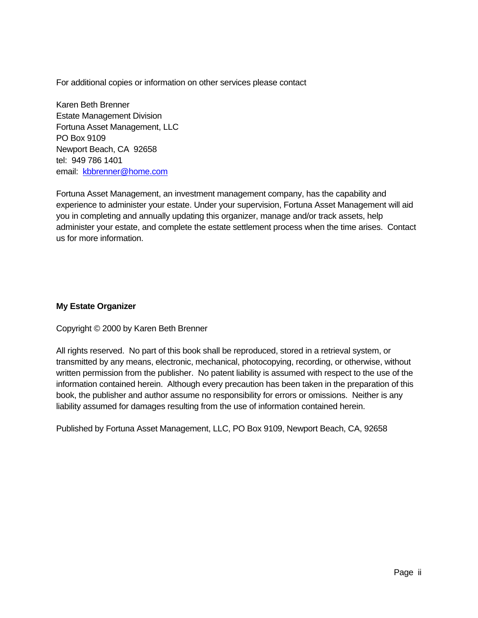For additional copies or information on other services please contact

Karen Beth Brenner Estate Management Division Fortuna Asset Management, LLC PO Box 9109 Newport Beach, CA 92658 tel: 949 786 1401 email: [kbbrenner@home.com](mailto:kbbrenner@home.com)

Fortuna Asset Management, an investment management company, has the capability and experience to administer your estate. Under your supervision, Fortuna Asset Management will aid you in completing and annually updating this organizer, manage and/or track assets, help administer your estate, and complete the estate settlement process when the time arises. Contact us for more information.

#### **My Estate Organizer**

Copyright © 2000 by Karen Beth Brenner

All rights reserved. No part of this book shall be reproduced, stored in a retrieval system, or transmitted by any means, electronic, mechanical, photocopying, recording, or otherwise, without written permission from the publisher. No patent liability is assumed with respect to the use of the information contained herein. Although every precaution has been taken in the preparation of this book, the publisher and author assume no responsibility for errors or omissions. Neither is any liability assumed for damages resulting from the use of information contained herein.

Published by Fortuna Asset Management, LLC, PO Box 9109, Newport Beach, CA, 92658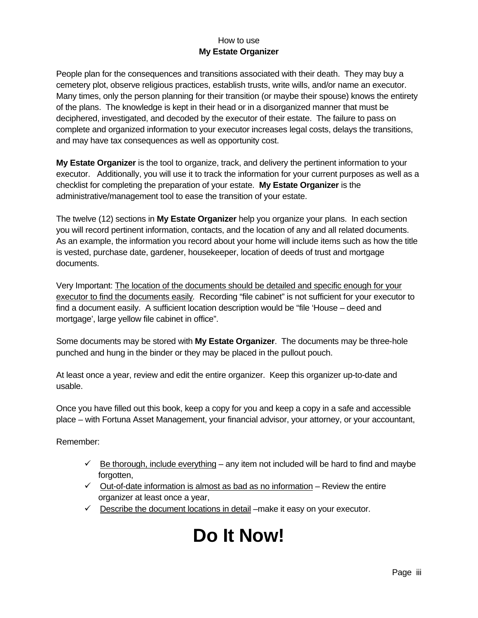#### How to use **My Estate Organizer**

People plan for the consequences and transitions associated with their death. They may buy a cemetery plot, observe religious practices, establish trusts, write wills, and/or name an executor. Many times, only the person planning for their transition (or maybe their spouse) knows the entirety of the plans. The knowledge is kept in their head or in a disorganized manner that must be deciphered, investigated, and decoded by the executor of their estate. The failure to pass on complete and organized information to your executor increases legal costs, delays the transitions, and may have tax consequences as well as opportunity cost.

**My Estate Organizer** is the tool to organize, track, and delivery the pertinent information to your executor. Additionally, you will use it to track the information for your current purposes as well as a checklist for completing the preparation of your estate. **My Estate Organizer** is the administrative/management tool to ease the transition of your estate.

The twelve (12) sections in **My Estate Organizer** help you organize your plans. In each section you will record pertinent information, contacts, and the location of any and all related documents. As an example, the information you record about your home will include items such as how the title is vested, purchase date, gardener, housekeeper, location of deeds of trust and mortgage documents.

Very Important: The location of the documents should be detailed and specific enough for your executor to find the documents easily*.* Recording "file cabinet" is not sufficient for your executor to find a document easily. A sufficient location description would be "file 'House – deed and mortgage', large yellow file cabinet in office".

Some documents may be stored with **My Estate Organizer**. The documents may be three-hole punched and hung in the binder or they may be placed in the pullout pouch.

At least once a year, review and edit the entire organizer. Keep this organizer up-to-date and usable.

Once you have filled out this book, keep a copy for you and keep a copy in a safe and accessible place – with Fortuna Asset Management, your financial advisor, your attorney, or your accountant,

Remember:

- $\checkmark$  Be thorough, include everything any item not included will be hard to find and maybe forgotten.
- $\checkmark$  Out-of-date information is almost as bad as no information Review the entire organizer at least once a year,
- $\checkmark$  Describe the document locations in detail –make it easy on your executor.

# **Do It Now!**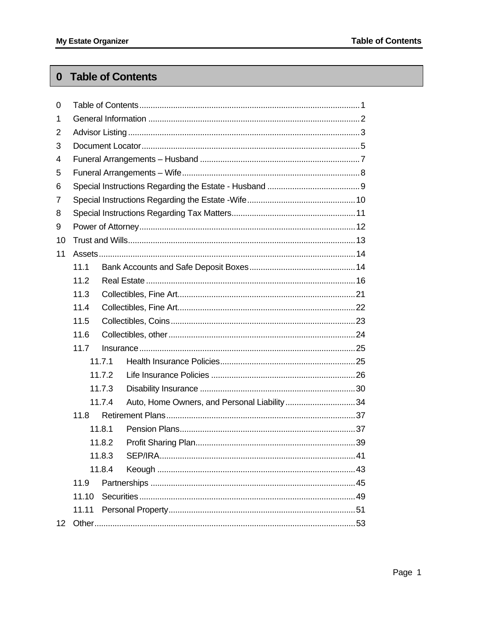### <span id="page-3-0"></span>0 Table of Contents

| 0                |       |        |                                             |
|------------------|-------|--------|---------------------------------------------|
| 1                |       |        |                                             |
| 2                |       |        |                                             |
| 3                |       |        |                                             |
| 4                |       |        |                                             |
| 5                |       |        |                                             |
| 6                |       |        |                                             |
| 7                |       |        |                                             |
| 8                |       |        |                                             |
| 9                |       |        |                                             |
| 10               |       |        |                                             |
| 11               |       |        |                                             |
|                  | 11.1  |        |                                             |
|                  | 11.2  |        |                                             |
|                  | 11.3  |        |                                             |
|                  | 11.4  |        |                                             |
|                  | 11.5  |        |                                             |
|                  | 11.6  |        |                                             |
|                  | 11.7  |        |                                             |
|                  |       | 11.7.1 |                                             |
|                  |       | 11.7.2 |                                             |
|                  |       | 11.7.3 |                                             |
|                  |       | 11.7.4 | Auto, Home Owners, and Personal Liability34 |
|                  | 11.8  |        |                                             |
|                  |       | 11.8.1 |                                             |
|                  |       | 11.8.2 |                                             |
|                  |       | 11.8.3 |                                             |
|                  |       | 11.8.4 |                                             |
|                  | 11.9  |        |                                             |
|                  | 11.10 |        |                                             |
|                  | 11.11 |        |                                             |
| 12 <sup>12</sup> |       |        |                                             |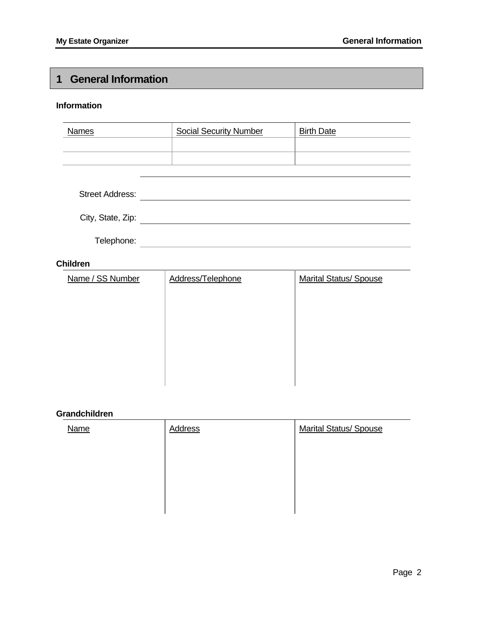### <span id="page-4-0"></span>**1 General Information**

#### **Information**

| <b>Names</b>           | <b>Social Security Number</b> | <b>Birth Date</b> |  |
|------------------------|-------------------------------|-------------------|--|
|                        |                               |                   |  |
|                        |                               |                   |  |
|                        |                               |                   |  |
| <b>Street Address:</b> |                               |                   |  |
| City, State, Zip:      |                               |                   |  |
| Telephone:             |                               |                   |  |
| <b>Children</b>        |                               |                   |  |

| Name / SS Number | Address/Telephone | <b>Marital Status/ Spouse</b> |
|------------------|-------------------|-------------------------------|
|                  |                   |                               |
|                  |                   |                               |
|                  |                   |                               |
|                  |                   |                               |
|                  |                   |                               |
|                  |                   |                               |

#### **Grandchildren**

| Name | Address | <b>Marital Status/ Spouse</b> |
|------|---------|-------------------------------|
|      |         |                               |
|      |         |                               |
|      |         |                               |
|      |         |                               |
|      |         |                               |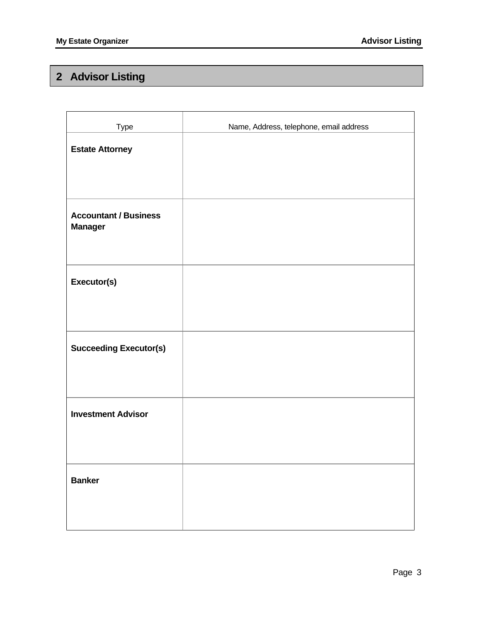# <span id="page-5-0"></span>**2 Advisor Listing**

| Type                                           | Name, Address, telephone, email address |
|------------------------------------------------|-----------------------------------------|
| <b>Estate Attorney</b>                         |                                         |
| <b>Accountant / Business</b><br><b>Manager</b> |                                         |
| Executor(s)                                    |                                         |
| <b>Succeeding Executor(s)</b>                  |                                         |
| <b>Investment Advisor</b>                      |                                         |
| <b>Banker</b>                                  |                                         |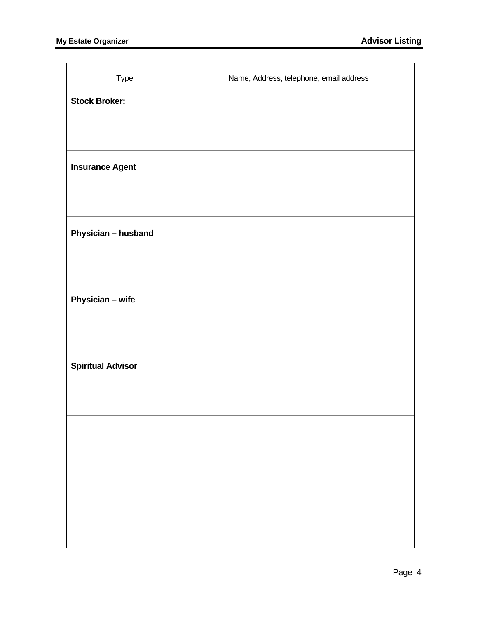| Type                     | Name, Address, telephone, email address |
|--------------------------|-----------------------------------------|
| <b>Stock Broker:</b>     |                                         |
|                          |                                         |
|                          |                                         |
|                          |                                         |
| <b>Insurance Agent</b>   |                                         |
|                          |                                         |
|                          |                                         |
| Physician - husband      |                                         |
|                          |                                         |
|                          |                                         |
| Physician - wife         |                                         |
|                          |                                         |
|                          |                                         |
| <b>Spiritual Advisor</b> |                                         |
|                          |                                         |
|                          |                                         |
|                          |                                         |
|                          |                                         |
|                          |                                         |
|                          |                                         |
|                          |                                         |
|                          |                                         |
|                          |                                         |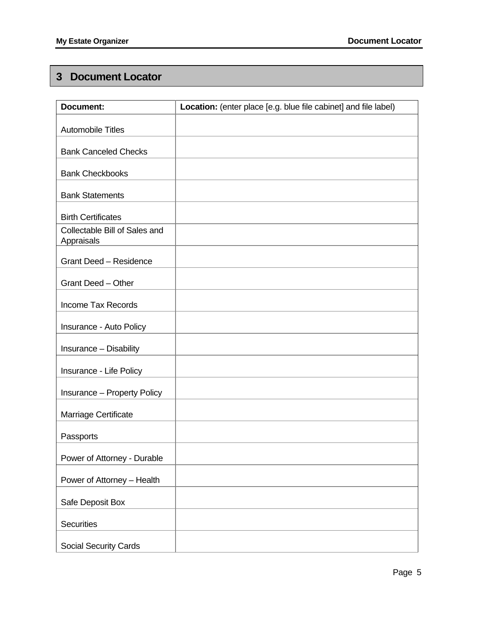### <span id="page-7-0"></span>**3 Document Locator**

| <b>Document:</b>                            | Location: (enter place [e.g. blue file cabinet] and file label) |
|---------------------------------------------|-----------------------------------------------------------------|
| <b>Automobile Titles</b>                    |                                                                 |
| <b>Bank Canceled Checks</b>                 |                                                                 |
| <b>Bank Checkbooks</b>                      |                                                                 |
| <b>Bank Statements</b>                      |                                                                 |
| <b>Birth Certificates</b>                   |                                                                 |
| Collectable Bill of Sales and<br>Appraisals |                                                                 |
| <b>Grant Deed - Residence</b>               |                                                                 |
| <b>Grant Deed - Other</b>                   |                                                                 |
| <b>Income Tax Records</b>                   |                                                                 |
| Insurance - Auto Policy                     |                                                                 |
| Insurance - Disability                      |                                                                 |
| Insurance - Life Policy                     |                                                                 |
| <b>Insurance - Property Policy</b>          |                                                                 |
| Marriage Certificate                        |                                                                 |
| Passports                                   |                                                                 |
| Power of Attorney - Durable                 |                                                                 |
| Power of Attorney - Health                  |                                                                 |
| Safe Deposit Box                            |                                                                 |
| <b>Securities</b>                           |                                                                 |
| Social Security Cards                       |                                                                 |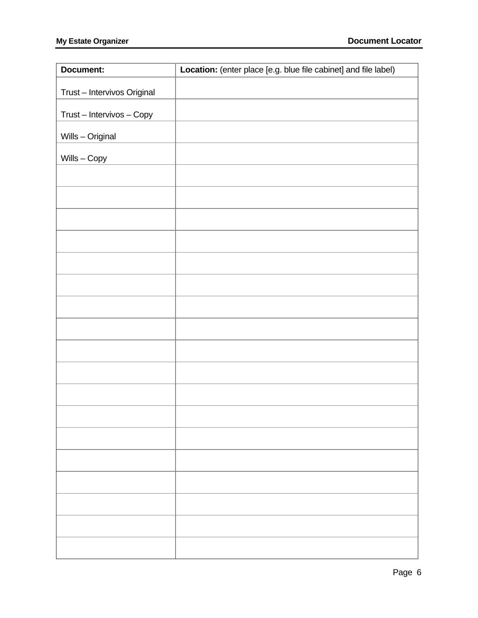| Document:                   | Location: (enter place [e.g. blue file cabinet] and file label) |
|-----------------------------|-----------------------------------------------------------------|
| Trust - Intervivos Original |                                                                 |
| Trust - Intervivos - Copy   |                                                                 |
| Wills - Original            |                                                                 |
| $Wills - Copy$              |                                                                 |
|                             |                                                                 |
|                             |                                                                 |
|                             |                                                                 |
|                             |                                                                 |
|                             |                                                                 |
|                             |                                                                 |
|                             |                                                                 |
|                             |                                                                 |
|                             |                                                                 |
|                             |                                                                 |
|                             |                                                                 |
|                             |                                                                 |
|                             |                                                                 |
|                             |                                                                 |
|                             |                                                                 |
|                             |                                                                 |
|                             |                                                                 |
|                             |                                                                 |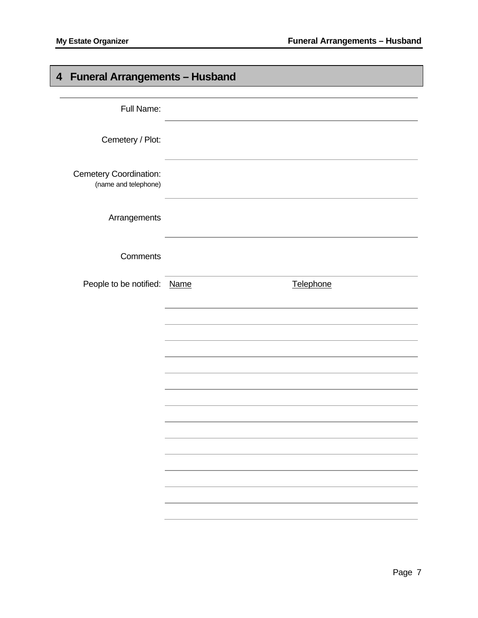# <span id="page-9-0"></span>**4 Funeral Arrangements – Husband**

| Full Name:                                            |           |  |
|-------------------------------------------------------|-----------|--|
| Cemetery / Plot:                                      |           |  |
| <b>Cemetery Coordination:</b><br>(name and telephone) |           |  |
| Arrangements                                          |           |  |
| Comments                                              |           |  |
| People to be notified: Name                           | Telephone |  |
|                                                       |           |  |
|                                                       |           |  |
|                                                       |           |  |
|                                                       |           |  |
|                                                       |           |  |
|                                                       |           |  |
|                                                       |           |  |
|                                                       |           |  |
|                                                       |           |  |
|                                                       |           |  |
|                                                       |           |  |
|                                                       |           |  |
|                                                       |           |  |
|                                                       |           |  |
|                                                       |           |  |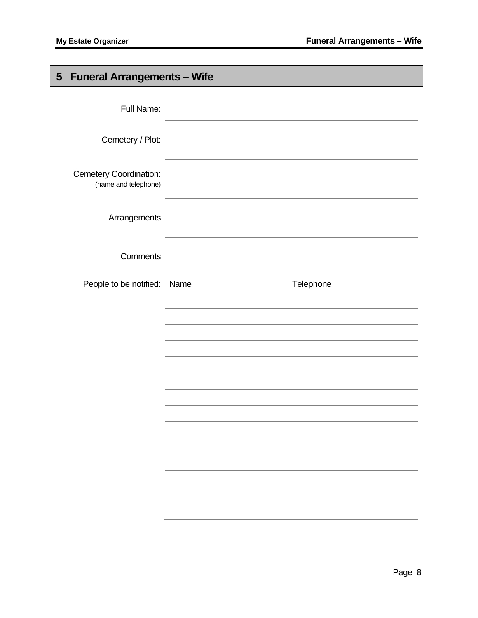# <span id="page-10-0"></span>**5 Funeral Arrangements – Wife**

| Full Name:                                            |           |
|-------------------------------------------------------|-----------|
| Cemetery / Plot:                                      |           |
| <b>Cemetery Coordination:</b><br>(name and telephone) |           |
| Arrangements                                          |           |
| Comments                                              |           |
| People to be notified: Name                           | Telephone |
|                                                       |           |
|                                                       |           |
|                                                       |           |
|                                                       |           |
|                                                       |           |
|                                                       |           |
|                                                       |           |
|                                                       |           |
|                                                       |           |
|                                                       |           |
|                                                       |           |
|                                                       |           |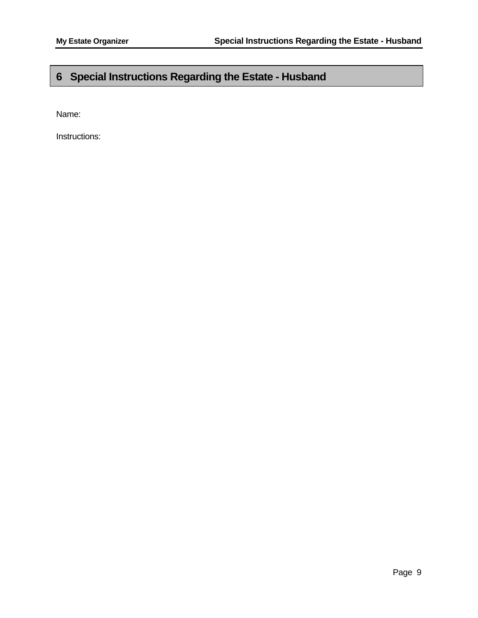### <span id="page-11-0"></span>**6 Special Instructions Regarding the Estate - Husband**

Name:

Instructions: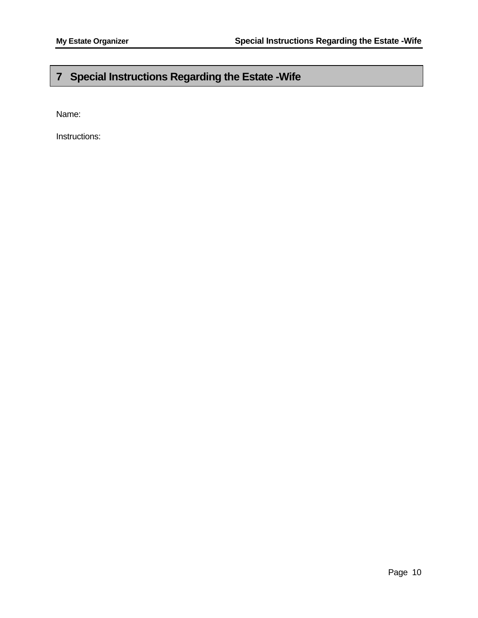### <span id="page-12-0"></span>**7 Special Instructions Regarding the Estate -Wife**

Name:

Instructions: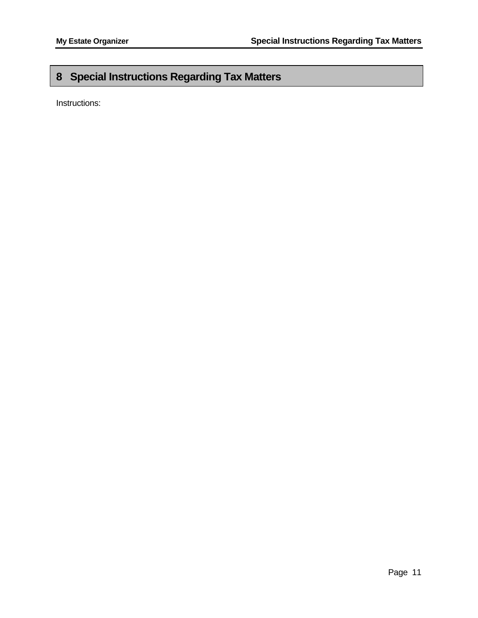### <span id="page-13-0"></span>**8 Special Instructions Regarding Tax Matters**

Instructions: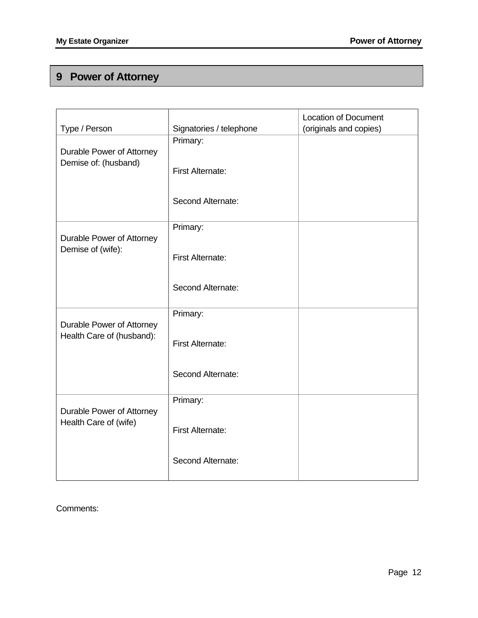# <span id="page-14-0"></span>**9 Power of Attorney**

| Type / Person                                     | Signatories / telephone      | <b>Location of Document</b><br>(originals and copies) |
|---------------------------------------------------|------------------------------|-------------------------------------------------------|
|                                                   |                              |                                                       |
| Durable Power of Attorney<br>Demise of: (husband) | Primary:<br>First Alternate: |                                                       |
|                                                   | Second Alternate:            |                                                       |
|                                                   | Primary:                     |                                                       |
| Durable Power of Attorney<br>Demise of (wife):    | <b>First Alternate:</b>      |                                                       |
|                                                   | Second Alternate:            |                                                       |
| Durable Power of Attorney                         | Primary:                     |                                                       |
| Health Care of (husband):                         | First Alternate:             |                                                       |
|                                                   | Second Alternate:            |                                                       |
| Durable Power of Attorney                         | Primary:                     |                                                       |
| Health Care of (wife)                             | <b>First Alternate:</b>      |                                                       |
|                                                   | Second Alternate:            |                                                       |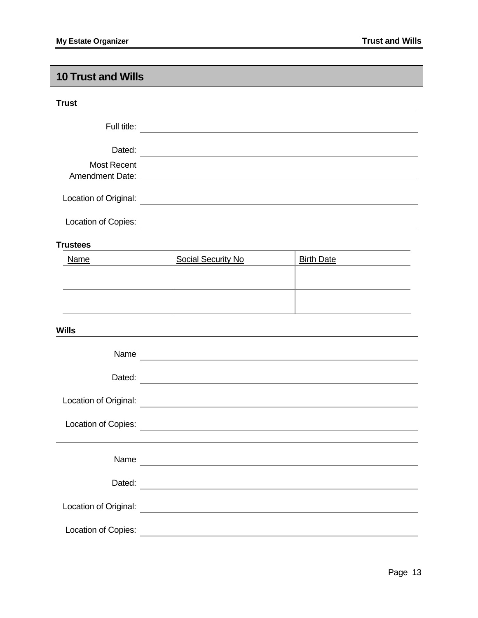### <span id="page-15-0"></span>**10 Trust and Wills**

| . .<br>$\sim$<br>v<br>v |
|-------------------------|
|-------------------------|

| Full title:                                  |  |
|----------------------------------------------|--|
| Dated:                                       |  |
| <b>Most Recent</b><br><b>Amendment Date:</b> |  |
| Location of Original:                        |  |
| Location of Copies:                          |  |

#### **Trustees**

| <u>Name</u> | <b>Social Security No</b> | <b>Birth Date</b> |  |  |  |
|-------------|---------------------------|-------------------|--|--|--|
|             |                           |                   |  |  |  |
|             |                           |                   |  |  |  |
|             |                           |                   |  |  |  |

#### **Wills**

| Name                  |                                                                                                                       |
|-----------------------|-----------------------------------------------------------------------------------------------------------------------|
| Dated:                |                                                                                                                       |
| Location of Original: |                                                                                                                       |
| Location of Copies:   | <u> 1980 - Johann Barbara, martxa eta batarra (h. 1980).</u>                                                          |
|                       |                                                                                                                       |
| Name                  |                                                                                                                       |
| Dated:                |                                                                                                                       |
| Location of Original: |                                                                                                                       |
| Location of Copies:   | <u> 1989 - Jan Sterlinger, fransk politiker og den som andre og den som andre og den som andre og den som andre o</u> |
|                       |                                                                                                                       |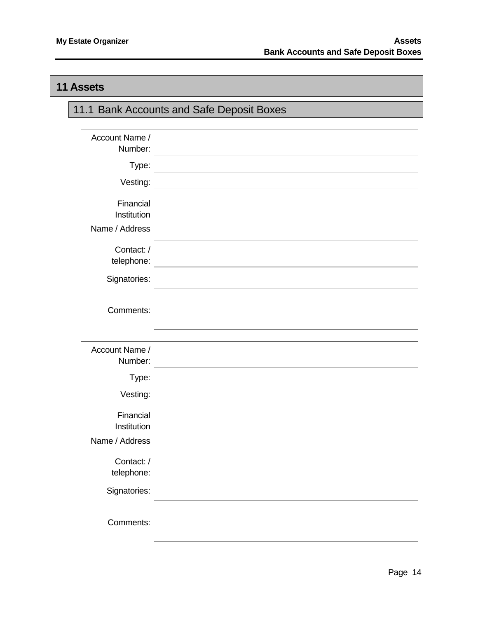#### <span id="page-16-0"></span>**11 Assets**

| 11.1 Bank Accounts and Safe Deposit Boxes  |                                                                                                                       |  |
|--------------------------------------------|-----------------------------------------------------------------------------------------------------------------------|--|
|                                            |                                                                                                                       |  |
| Account Name /<br>Number:                  |                                                                                                                       |  |
| Type:                                      |                                                                                                                       |  |
| Vesting:                                   |                                                                                                                       |  |
| Financial<br>Institution                   |                                                                                                                       |  |
| Name / Address                             |                                                                                                                       |  |
| Contact:/<br>telephone:                    |                                                                                                                       |  |
| Signatories:                               |                                                                                                                       |  |
| Comments:                                  |                                                                                                                       |  |
| Account Name /                             |                                                                                                                       |  |
| Number:                                    |                                                                                                                       |  |
| Type:                                      |                                                                                                                       |  |
| Vesting:                                   |                                                                                                                       |  |
| Financial<br>Institution<br>Name / Address |                                                                                                                       |  |
| Contact:/<br>telephone:                    | <u> Alexandria de la construcción de la construcción de la construcción de la construcción de la construcción de </u> |  |
| Signatories:                               |                                                                                                                       |  |
| Comments:                                  |                                                                                                                       |  |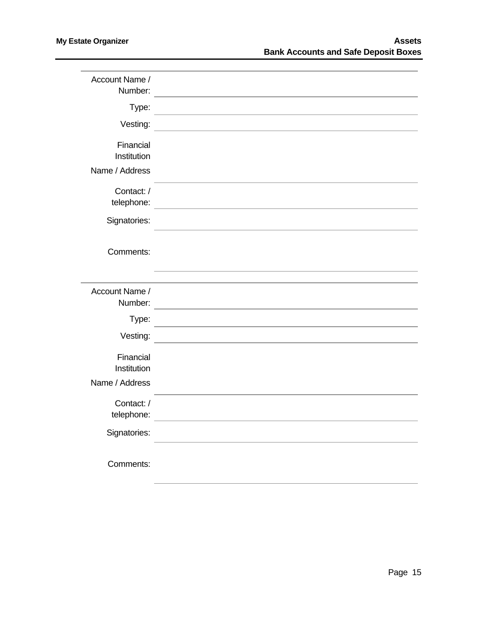| Account Name /<br>Number: |                                                                                           |
|---------------------------|-------------------------------------------------------------------------------------------|
|                           |                                                                                           |
| Type:                     |                                                                                           |
| Vesting:                  |                                                                                           |
|                           |                                                                                           |
| Financial                 |                                                                                           |
| Institution               |                                                                                           |
| Name / Address            |                                                                                           |
|                           |                                                                                           |
| Contact:/                 |                                                                                           |
| telephone:                |                                                                                           |
|                           |                                                                                           |
| Signatories:              |                                                                                           |
|                           |                                                                                           |
|                           |                                                                                           |
| Comments:                 |                                                                                           |
|                           |                                                                                           |
|                           |                                                                                           |
| Account Name /            |                                                                                           |
| Number:                   |                                                                                           |
|                           | the control of the control of the control of the control of the control of the control of |
| Type:                     |                                                                                           |
| Vesting:                  |                                                                                           |
|                           |                                                                                           |
| Financial                 |                                                                                           |
| Institution               |                                                                                           |
| Name / Address            |                                                                                           |
|                           |                                                                                           |
| Contact:/                 |                                                                                           |
| telephone:                | <u> 1989 - John Stein, Amerikaansk politiker (</u>                                        |
|                           |                                                                                           |
| Signatories:              |                                                                                           |
|                           |                                                                                           |
| Comments:                 |                                                                                           |
|                           |                                                                                           |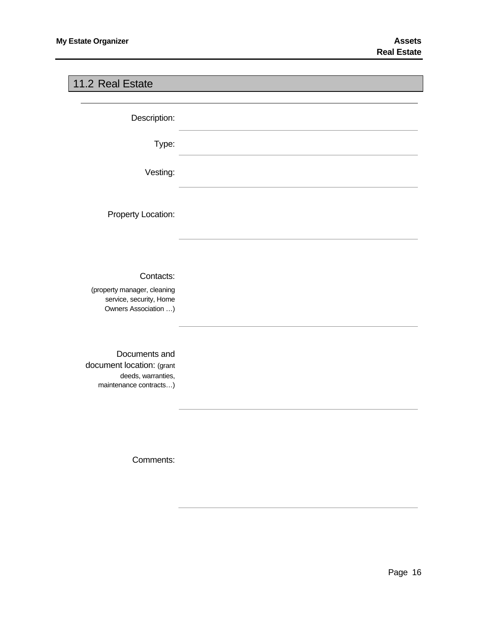### <span id="page-18-0"></span>11.2 Real Estate

Description:

Type:

Vesting:

Property Location:

#### Contacts:

(property manager, cleaning service, security, Home Owners Association …)

Documents and document location: (grant deeds, warranties, maintenance contracts…)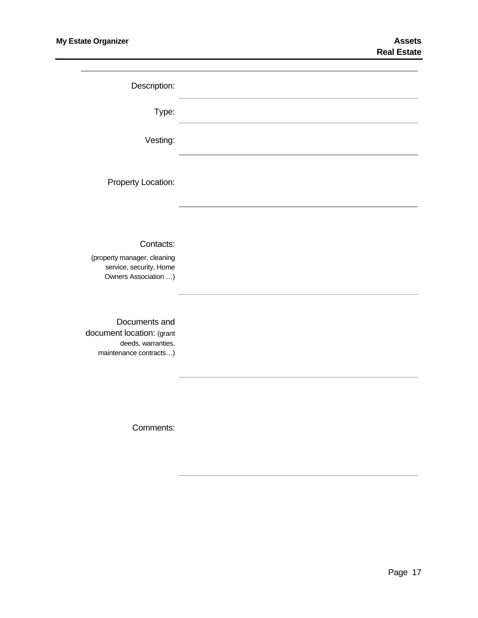| Description:                                                                                |  |
|---------------------------------------------------------------------------------------------|--|
| Type:                                                                                       |  |
| Vesting:                                                                                    |  |
| Property Location:                                                                          |  |
| Contacts:<br>(property manager, cleaning<br>service, security, Home<br>Owners Association ) |  |
| Documents and<br>document location: (grant<br>deeds, warranties,<br>maintenance contracts)  |  |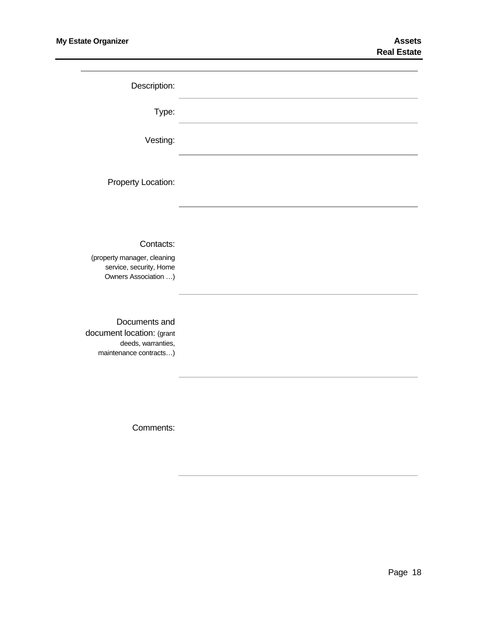| Description:                                                                                |  |
|---------------------------------------------------------------------------------------------|--|
| Type:                                                                                       |  |
| Vesting:                                                                                    |  |
| Property Location:                                                                          |  |
| Contacts:<br>(property manager, cleaning<br>service, security, Home<br>Owners Association ) |  |
| Documents and<br>document location: (grant<br>deeds, warranties,<br>maintenance contracts)  |  |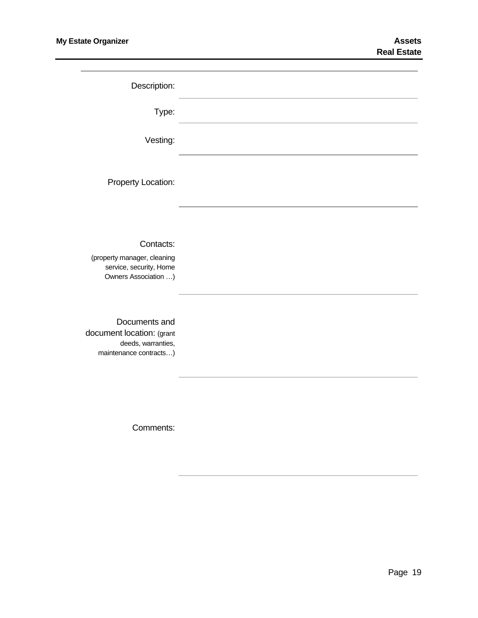| Description:                                                                                |  |
|---------------------------------------------------------------------------------------------|--|
| Type:                                                                                       |  |
| Vesting:                                                                                    |  |
| Property Location:                                                                          |  |
| Contacts:<br>(property manager, cleaning<br>service, security, Home<br>Owners Association ) |  |
| Documents and<br>document location: (grant<br>deeds, warranties,<br>maintenance contracts)  |  |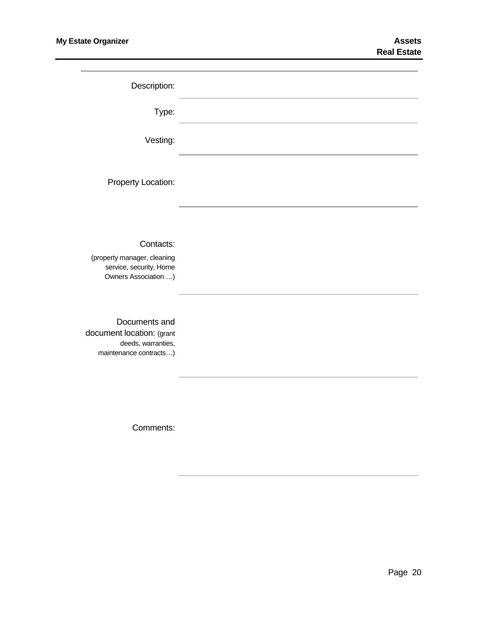| Description:                                                                                |  |
|---------------------------------------------------------------------------------------------|--|
| Type:                                                                                       |  |
| Vesting:                                                                                    |  |
| Property Location:                                                                          |  |
| Contacts:<br>(property manager, cleaning<br>service, security, Home<br>Owners Association ) |  |
| Documents and<br>document location: (grant<br>deeds, warranties,<br>maintenance contracts)  |  |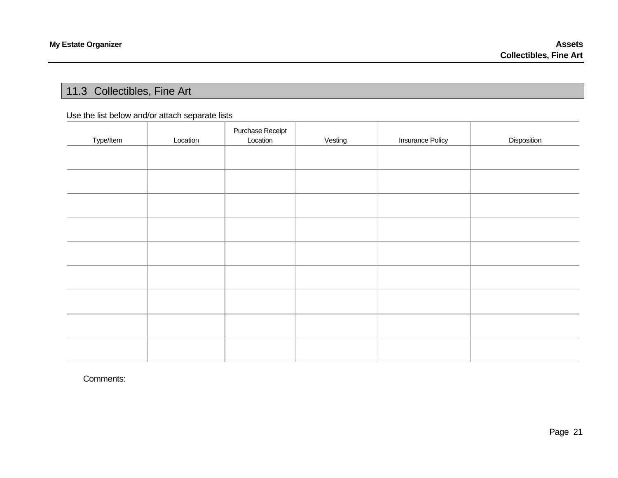#### 11.3 Collectibles, Fine Art

#### Use the list below and/or attach separate lists

<span id="page-23-0"></span>

| Type/Item | Location | Purchase Receipt<br>Location | Vesting | <b>Insurance Policy</b> | Disposition |
|-----------|----------|------------------------------|---------|-------------------------|-------------|
|           |          |                              |         |                         |             |
|           |          |                              |         |                         |             |
|           |          |                              |         |                         |             |
|           |          |                              |         |                         |             |
|           |          |                              |         |                         |             |
|           |          |                              |         |                         |             |
|           |          |                              |         |                         |             |
|           |          |                              |         |                         |             |
|           |          |                              |         |                         |             |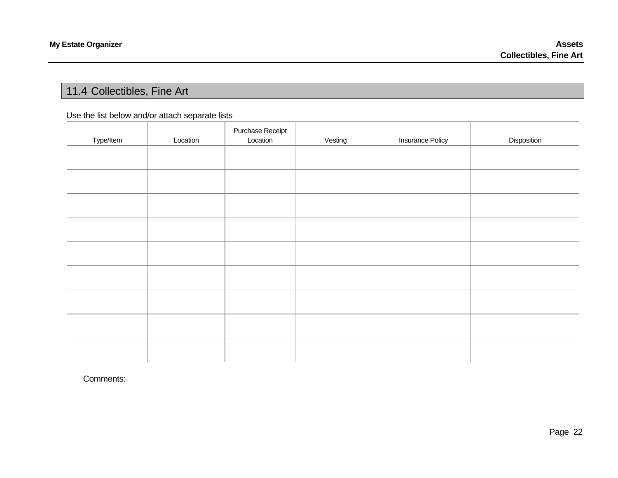#### 11.4 Collectibles, Fine Art

#### Use the list below and/or attach separate lists

<span id="page-24-0"></span>

| Type/Item | Location | Purchase Receipt<br>Location | Vesting | <b>Insurance Policy</b> | Disposition |
|-----------|----------|------------------------------|---------|-------------------------|-------------|
|           |          |                              |         |                         |             |
|           |          |                              |         |                         |             |
|           |          |                              |         |                         |             |
|           |          |                              |         |                         |             |
|           |          |                              |         |                         |             |
|           |          |                              |         |                         |             |
|           |          |                              |         |                         |             |
|           |          |                              |         |                         |             |
|           |          |                              |         |                         |             |
|           |          |                              |         |                         |             |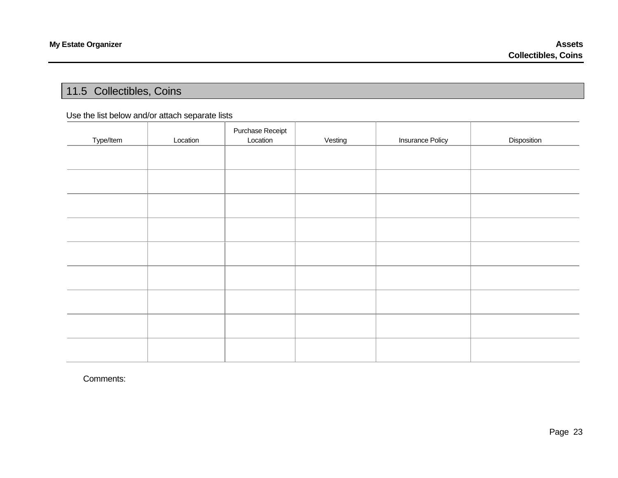### 11.5 Collectibles, Coins

#### Use the list below and/or attach separate lists

<span id="page-25-0"></span>

|           |          | Purchase Receipt |         |                         |             |
|-----------|----------|------------------|---------|-------------------------|-------------|
| Type/Item | Location | Location         | Vesting | <b>Insurance Policy</b> | Disposition |
|           |          |                  |         |                         |             |
|           |          |                  |         |                         |             |
|           |          |                  |         |                         |             |
|           |          |                  |         |                         |             |
|           |          |                  |         |                         |             |
|           |          |                  |         |                         |             |
|           |          |                  |         |                         |             |
|           |          |                  |         |                         |             |
|           |          |                  |         |                         |             |
|           |          |                  |         |                         |             |
|           |          |                  |         |                         |             |
|           |          |                  |         |                         |             |
|           |          |                  |         |                         |             |
|           |          |                  |         |                         |             |
|           |          |                  |         |                         |             |
|           |          |                  |         |                         |             |
|           |          |                  |         |                         |             |
|           |          |                  |         |                         |             |
|           |          |                  |         |                         |             |
|           |          |                  |         |                         |             |
|           |          |                  |         |                         |             |
|           |          |                  |         |                         |             |
|           |          |                  |         |                         |             |
|           |          |                  |         |                         |             |
|           |          |                  |         |                         |             |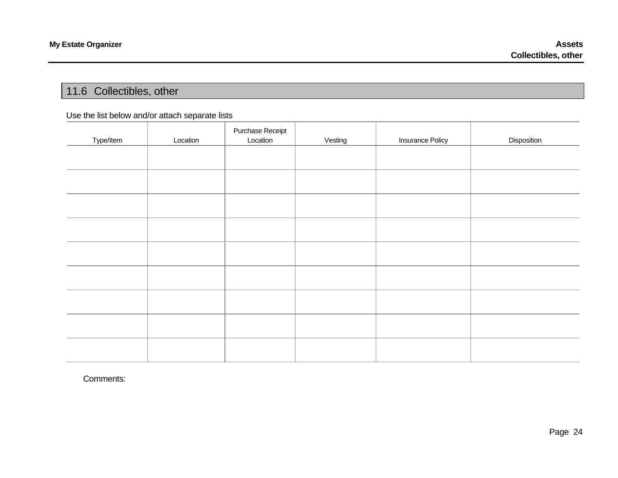### 11.6 Collectibles, other

#### Use the list below and/or attach separate lists

<span id="page-26-0"></span>

|           |          | Purchase Receipt |         |                         |             |
|-----------|----------|------------------|---------|-------------------------|-------------|
| Type/Item | Location | Location         | Vesting | <b>Insurance Policy</b> | Disposition |
|           |          |                  |         |                         |             |
|           |          |                  |         |                         |             |
|           |          |                  |         |                         |             |
|           |          |                  |         |                         |             |
|           |          |                  |         |                         |             |
|           |          |                  |         |                         |             |
|           |          |                  |         |                         |             |
|           |          |                  |         |                         |             |
|           |          |                  |         |                         |             |
|           |          |                  |         |                         |             |
|           |          |                  |         |                         |             |
|           |          |                  |         |                         |             |
|           |          |                  |         |                         |             |
|           |          |                  |         |                         |             |
|           |          |                  |         |                         |             |
|           |          |                  |         |                         |             |
|           |          |                  |         |                         |             |
|           |          |                  |         |                         |             |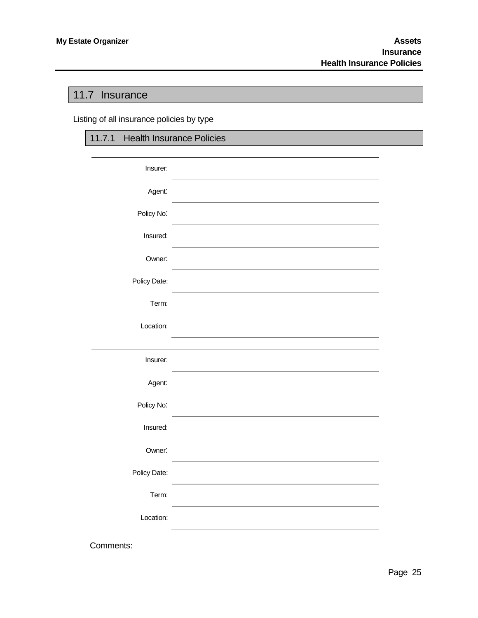### <span id="page-27-0"></span>11.7 Insurance

Listing of all insurance policies by type

| 11.7.1 Health Insurance Policies |  |
|----------------------------------|--|
|                                  |  |
| Insurer:                         |  |
| Agent:                           |  |
| Policy No:                       |  |
| Insured:                         |  |
| Owner:                           |  |
| Policy Date:                     |  |
| Term:                            |  |
| Location:                        |  |
|                                  |  |
| Insurer:                         |  |
| Agent:                           |  |
| Policy No:                       |  |
| Insured:                         |  |
| Owner:                           |  |
| Policy Date:                     |  |
| Term:                            |  |
| Location:                        |  |
| Comments:                        |  |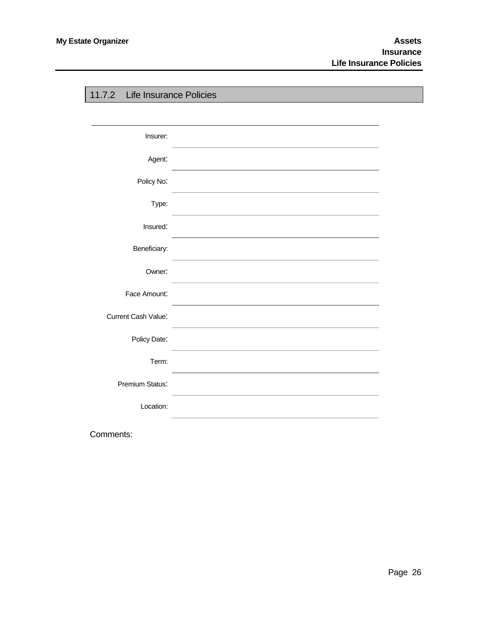<span id="page-28-0"></span>

| 11.7.2 Life Insurance Policies |  |
|--------------------------------|--|
|                                |  |
| Insurer:                       |  |
| Agent:                         |  |
| Policy No:                     |  |
| Type:                          |  |
| Insured:                       |  |
| Beneficiary:                   |  |
| Owner:                         |  |
| Face Amount:                   |  |
| Current Cash Value:            |  |
| Policy Date:                   |  |
| Term:                          |  |
| Premium Status:                |  |
| Location:                      |  |
|                                |  |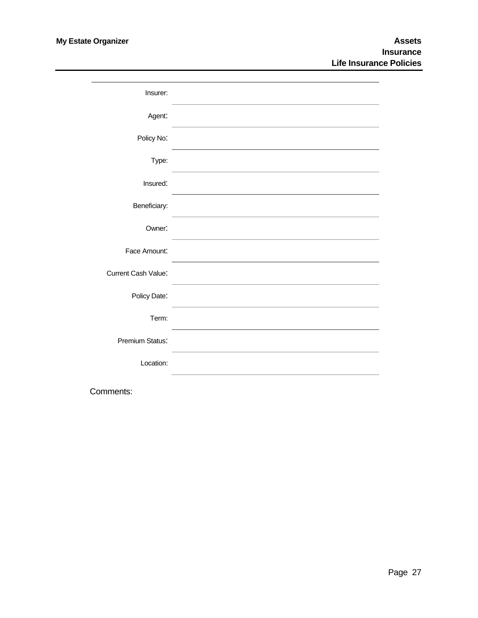| Insurer:            |                                                                                                                  |
|---------------------|------------------------------------------------------------------------------------------------------------------|
| Agent:              |                                                                                                                  |
| Policy No:          | and the control of the control of the control of the control of the control of the control of the control of the |
| Type:               |                                                                                                                  |
| Insured:            |                                                                                                                  |
| Beneficiary:        |                                                                                                                  |
| Owner:              |                                                                                                                  |
| Face Amount:        |                                                                                                                  |
| Current Cash Value: |                                                                                                                  |
| Policy Date:        |                                                                                                                  |
| Term:               |                                                                                                                  |
| Premium Status:     |                                                                                                                  |
| Location:           |                                                                                                                  |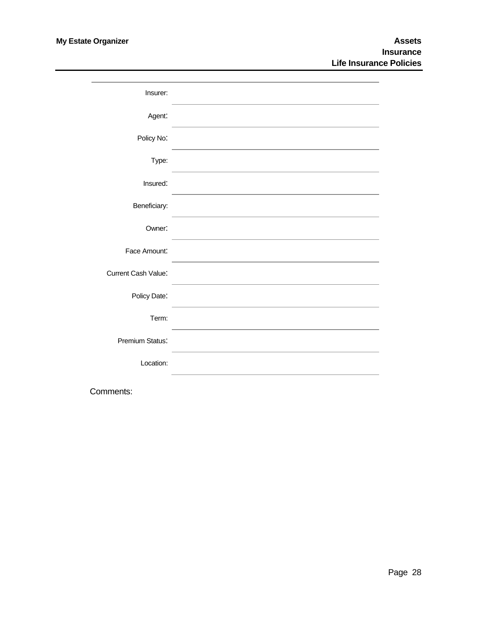| Insurer:            |                                                                                                                  |
|---------------------|------------------------------------------------------------------------------------------------------------------|
| Agent:              |                                                                                                                  |
| Policy No:          | and the control of the control of the control of the control of the control of the control of the control of the |
| Type:               |                                                                                                                  |
| Insured:            |                                                                                                                  |
| Beneficiary:        |                                                                                                                  |
| Owner:              |                                                                                                                  |
| Face Amount:        |                                                                                                                  |
| Current Cash Value: |                                                                                                                  |
| Policy Date:        |                                                                                                                  |
| Term:               |                                                                                                                  |
| Premium Status:     |                                                                                                                  |
| Location:           |                                                                                                                  |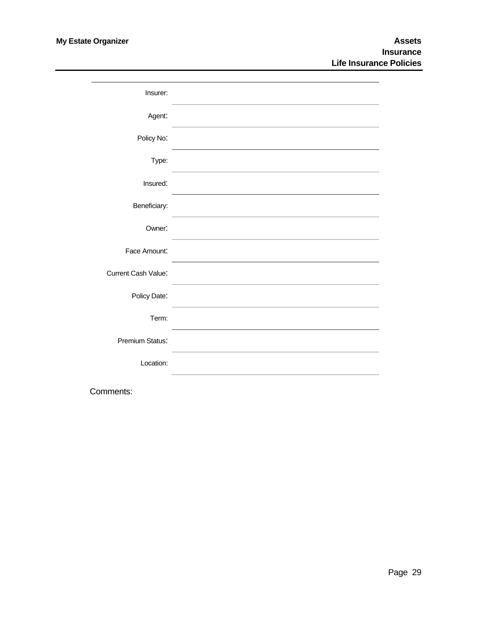| Insurer:            |                                                                                                                  |
|---------------------|------------------------------------------------------------------------------------------------------------------|
| Agent:              |                                                                                                                  |
| Policy No:          | and the control of the control of the control of the control of the control of the control of the control of the |
| Type:               |                                                                                                                  |
| Insured:            |                                                                                                                  |
| Beneficiary:        |                                                                                                                  |
| Owner:              |                                                                                                                  |
| Face Amount:        |                                                                                                                  |
| Current Cash Value: |                                                                                                                  |
| Policy Date:        |                                                                                                                  |
| Term:               |                                                                                                                  |
| Premium Status:     |                                                                                                                  |
| Location:           |                                                                                                                  |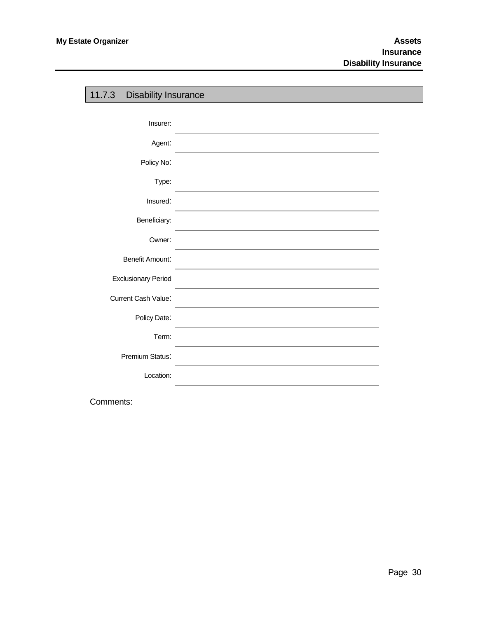<span id="page-32-0"></span>

| 11.7.3<br><b>Disability Insurance</b> |  |
|---------------------------------------|--|
|                                       |  |
| Insurer:                              |  |
| Agent:                                |  |
| Policy No:                            |  |
| Type:                                 |  |
| Insured:                              |  |
| Beneficiary:                          |  |
| Owner:                                |  |
| <b>Benefit Amount:</b>                |  |
| <b>Exclusionary Period</b>            |  |
| Current Cash Value:                   |  |
| Policy Date:                          |  |
| Term:                                 |  |
| Premium Status:                       |  |
| Location:                             |  |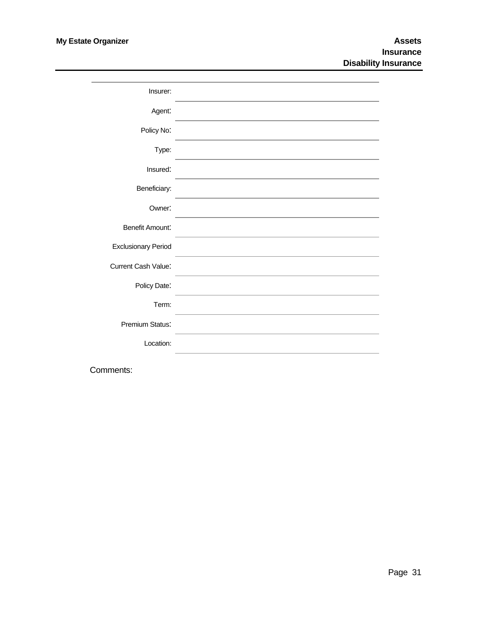| Insurer:                   |  |
|----------------------------|--|
| Agent:                     |  |
| Policy No:                 |  |
| Type:                      |  |
| Insured:                   |  |
| Beneficiary:               |  |
| Owner:                     |  |
| <b>Benefit Amount:</b>     |  |
| <b>Exclusionary Period</b> |  |
| <b>Current Cash Value:</b> |  |
| Policy Date:               |  |
| Term:                      |  |
| Premium Status:            |  |
| Location:                  |  |
|                            |  |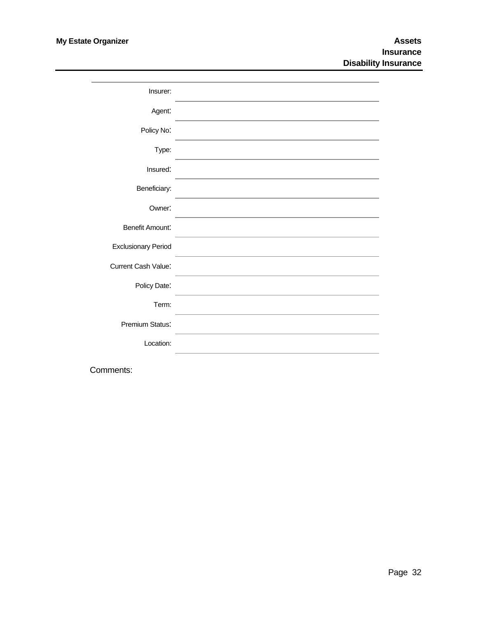| Insurer:                   |  |
|----------------------------|--|
| Agent:                     |  |
| Policy No:                 |  |
| Type:                      |  |
| Insured:                   |  |
| Beneficiary:               |  |
| Owner:                     |  |
| <b>Benefit Amount:</b>     |  |
| <b>Exclusionary Period</b> |  |
| <b>Current Cash Value:</b> |  |
| Policy Date:               |  |
| Term:                      |  |
| Premium Status:            |  |
| Location:                  |  |
|                            |  |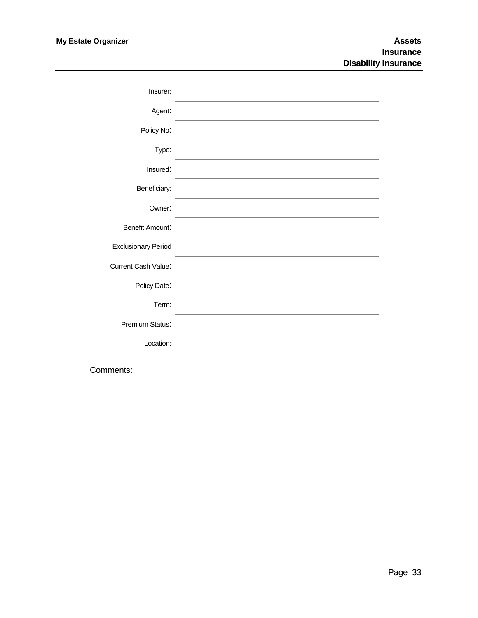| Insurer:                   |  |
|----------------------------|--|
| Agent:                     |  |
| Policy No:                 |  |
| Type:                      |  |
| Insured:                   |  |
| Beneficiary:               |  |
| Owner:                     |  |
| <b>Benefit Amount:</b>     |  |
| <b>Exclusionary Period</b> |  |
| <b>Current Cash Value:</b> |  |
| Policy Date:               |  |
| Term:                      |  |
| Premium Status:            |  |
| Location:                  |  |
|                            |  |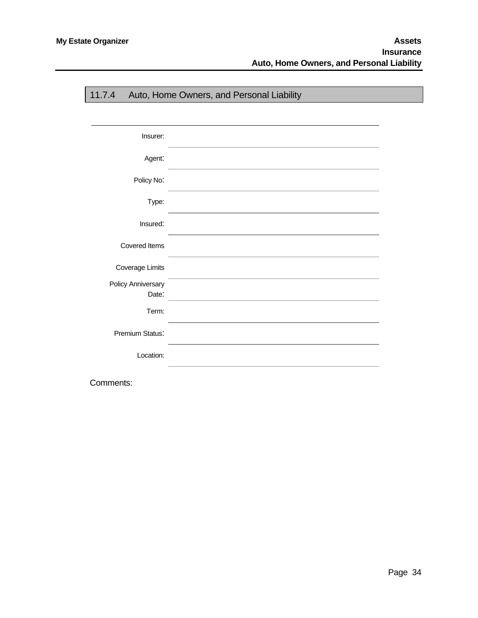<span id="page-36-0"></span>

| 11.7.4                      | Auto, Home Owners, and Personal Liability |
|-----------------------------|-------------------------------------------|
|                             |                                           |
| Insurer:                    |                                           |
| Agent:                      |                                           |
| Policy No:                  |                                           |
| Type:                       |                                           |
| Insured:                    |                                           |
| <b>Covered Items</b>        |                                           |
| Coverage Limits             |                                           |
| Policy Anniversary<br>Date: |                                           |
| Term:                       |                                           |
| Premium Status:             |                                           |
| Location:                   |                                           |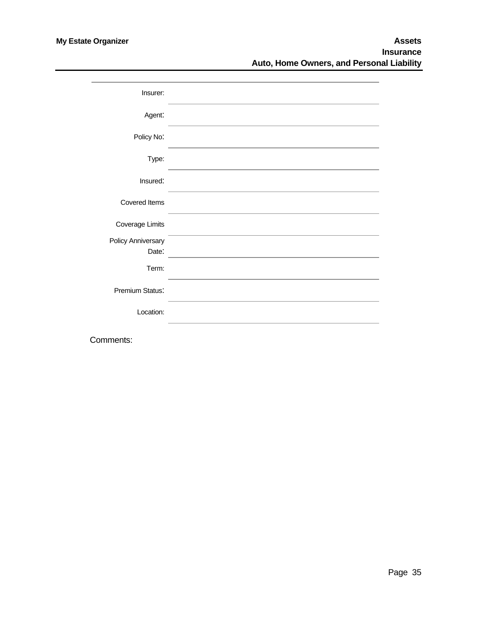| Insurer:                           |  |
|------------------------------------|--|
| Agent:                             |  |
| Policy No:                         |  |
| Type:                              |  |
| Insured:                           |  |
| <b>Covered Items</b>               |  |
| Coverage Limits                    |  |
| <b>Policy Anniversary</b><br>Date: |  |
| Term:                              |  |
| Premium Status:                    |  |
| Location:                          |  |
|                                    |  |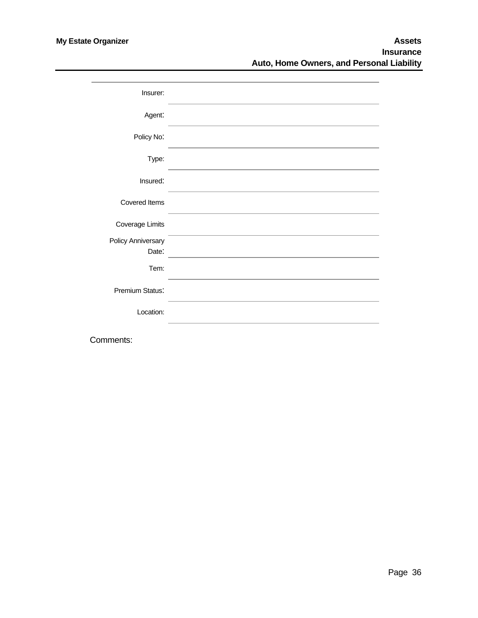| Insurer:                    |  |
|-----------------------------|--|
| Agent:                      |  |
| Policy No:                  |  |
| Type:                       |  |
| Insured:                    |  |
| Covered Items               |  |
| <b>Coverage Limits</b>      |  |
| Policy Anniversary<br>Date: |  |
| Tem:                        |  |
| Premium Status:             |  |
| Location:                   |  |
|                             |  |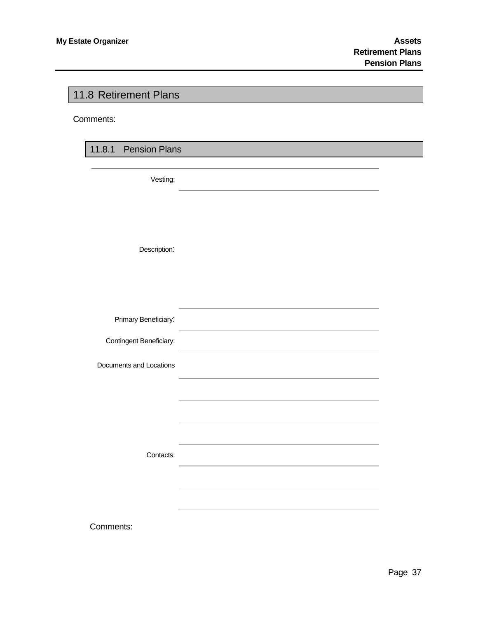### <span id="page-39-0"></span>11.8 Retirement Plans

Comments:

11.8.1 Pension Plans

Vesting:

Description:

| Primary Beneficiary:    |  |
|-------------------------|--|
| Contingent Beneficiary: |  |
| Documents and Locations |  |
|                         |  |
|                         |  |
|                         |  |
| Contacts:               |  |
|                         |  |
|                         |  |
| Comments:               |  |
|                         |  |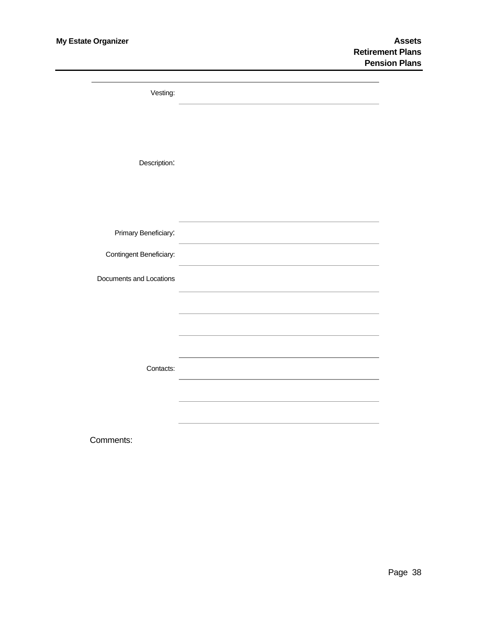| Vesting:                |  |
|-------------------------|--|
|                         |  |
|                         |  |
| Description:            |  |
|                         |  |
|                         |  |
| Primary Beneficiary:    |  |
| Contingent Beneficiary: |  |
| Documents and Locations |  |
|                         |  |
|                         |  |
|                         |  |
| Contacts:               |  |
|                         |  |
|                         |  |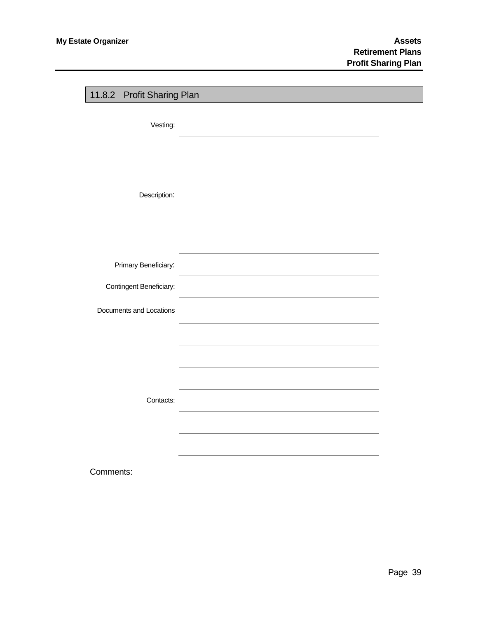<span id="page-41-0"></span>

| 11.8.2 Profit Sharing Plan |  |
|----------------------------|--|
|                            |  |
| Vesting:                   |  |
|                            |  |
|                            |  |
|                            |  |
| Description:               |  |
|                            |  |
|                            |  |
|                            |  |
|                            |  |
| Primary Beneficiary:       |  |
| Contingent Beneficiary:    |  |
|                            |  |
| Documents and Locations    |  |
|                            |  |
|                            |  |
|                            |  |
|                            |  |
| Contacts:                  |  |
|                            |  |
|                            |  |
|                            |  |
|                            |  |
| Comments:                  |  |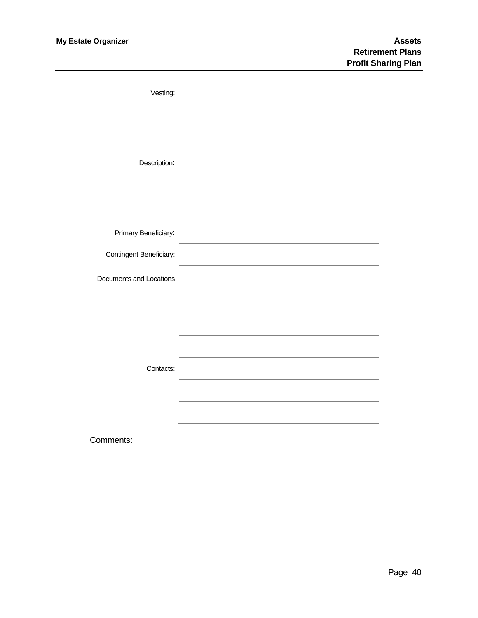| Vesting:                |                                                                                           |
|-------------------------|-------------------------------------------------------------------------------------------|
|                         |                                                                                           |
|                         |                                                                                           |
| Description:            |                                                                                           |
|                         |                                                                                           |
|                         |                                                                                           |
|                         |                                                                                           |
| Primary Beneficiary:    | the control of the control of the control of the control of the control of the control of |
| Contingent Beneficiary: |                                                                                           |
| Documents and Locations |                                                                                           |
|                         |                                                                                           |
|                         |                                                                                           |
|                         |                                                                                           |
|                         |                                                                                           |
| Contacts:               |                                                                                           |
|                         |                                                                                           |
|                         |                                                                                           |
|                         |                                                                                           |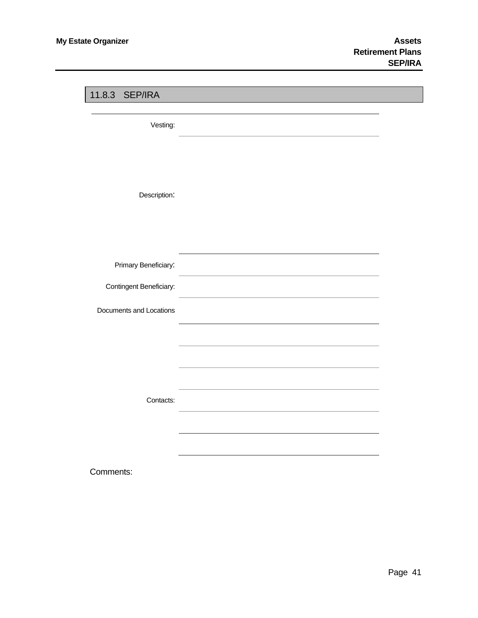<span id="page-43-0"></span>

| 11.8.3 SEP/IRA          |                                                                                                                      |  |
|-------------------------|----------------------------------------------------------------------------------------------------------------------|--|
|                         |                                                                                                                      |  |
| Vesting:                |                                                                                                                      |  |
|                         |                                                                                                                      |  |
|                         |                                                                                                                      |  |
|                         |                                                                                                                      |  |
| Description:            |                                                                                                                      |  |
|                         |                                                                                                                      |  |
|                         |                                                                                                                      |  |
|                         |                                                                                                                      |  |
| Primary Beneficiary:    | the control of the control of the control of the control of the control of the control of                            |  |
| Contingent Beneficiary: | <u> 1989 - Johann Stein, mars an deutscher Stein und der Stein und der Stein und der Stein und der Stein und der</u> |  |
| Documents and Locations |                                                                                                                      |  |
|                         |                                                                                                                      |  |
|                         |                                                                                                                      |  |
|                         |                                                                                                                      |  |
|                         |                                                                                                                      |  |
| Contacts:               |                                                                                                                      |  |
|                         |                                                                                                                      |  |
|                         |                                                                                                                      |  |
|                         |                                                                                                                      |  |
| Comments:               |                                                                                                                      |  |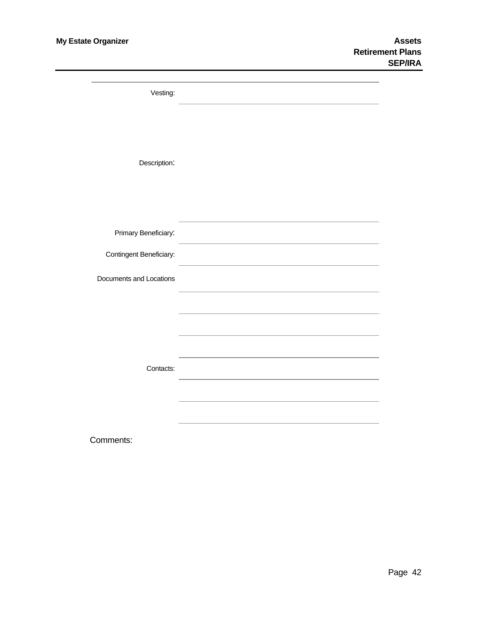| Vesting:                |  |
|-------------------------|--|
|                         |  |
|                         |  |
|                         |  |
|                         |  |
| Description:            |  |
|                         |  |
|                         |  |
|                         |  |
|                         |  |
| Primary Beneficiary:    |  |
| Contingent Beneficiary: |  |
|                         |  |
| Documents and Locations |  |
|                         |  |
|                         |  |
|                         |  |
|                         |  |
|                         |  |
|                         |  |
| Contacts:               |  |
|                         |  |
|                         |  |
|                         |  |
|                         |  |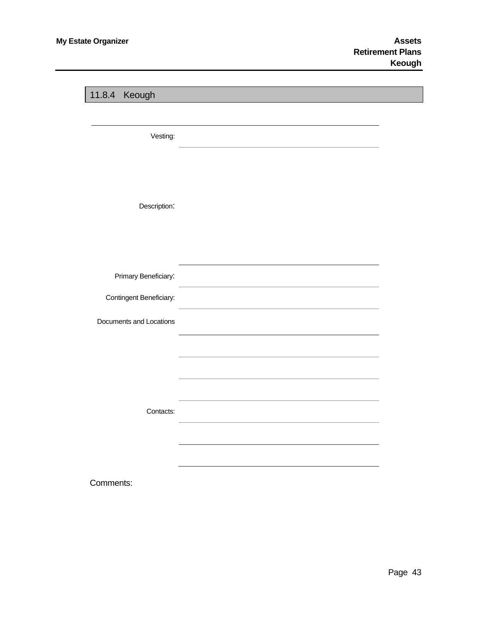<span id="page-45-0"></span>

| 11.8.4 Keough           |  |
|-------------------------|--|
|                         |  |
| Vesting:                |  |
|                         |  |
|                         |  |
| Description:            |  |
|                         |  |
|                         |  |
| Primary Beneficiary:    |  |
| Contingent Beneficiary: |  |
| Documents and Locations |  |
|                         |  |
|                         |  |
|                         |  |
| Contacts:               |  |
|                         |  |
|                         |  |
|                         |  |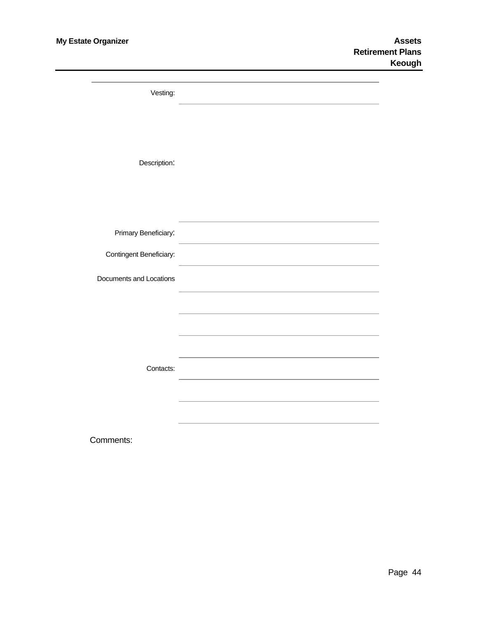| Vesting:                |  |
|-------------------------|--|
|                         |  |
|                         |  |
|                         |  |
| Description:            |  |
|                         |  |
|                         |  |
|                         |  |
| Primary Beneficiary:    |  |
| Contingent Beneficiary: |  |
|                         |  |
| Documents and Locations |  |
|                         |  |
|                         |  |
|                         |  |
|                         |  |
| Contacts:               |  |
|                         |  |
|                         |  |
|                         |  |
|                         |  |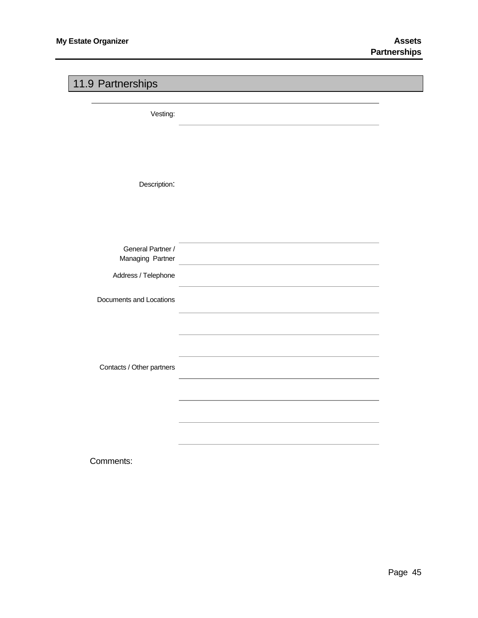### <span id="page-47-0"></span>11.9 Partnerships

Vesting:

Description:

| General Partner /         |  |
|---------------------------|--|
| Managing Partner          |  |
| Address / Telephone       |  |
| Documents and Locations   |  |
|                           |  |
|                           |  |
| Contacts / Other partners |  |
|                           |  |
|                           |  |
|                           |  |
|                           |  |
| Comments:                 |  |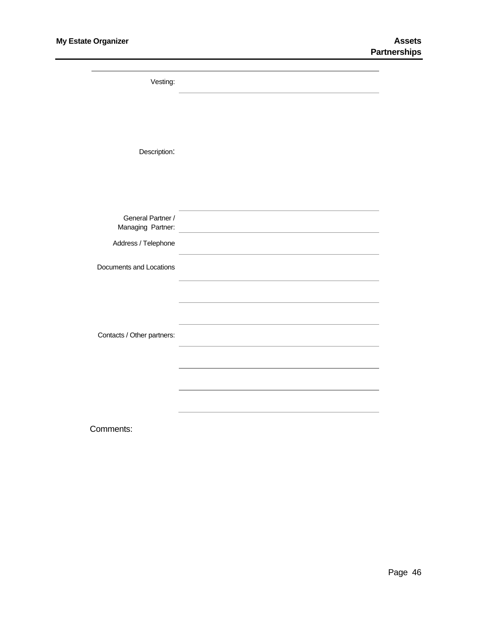| Vesting:                               |                                                            |
|----------------------------------------|------------------------------------------------------------|
|                                        |                                                            |
|                                        |                                                            |
| Description:                           |                                                            |
|                                        |                                                            |
|                                        |                                                            |
|                                        |                                                            |
| General Partner /<br>Managing Partner: | <u> 1989 - Johann Barn, amerikansk politiker (d. 1989)</u> |
| Address / Telephone                    |                                                            |
| Documents and Locations                |                                                            |
|                                        |                                                            |
|                                        |                                                            |
| Contacts / Other partners:             |                                                            |
|                                        |                                                            |
|                                        |                                                            |
|                                        |                                                            |
|                                        |                                                            |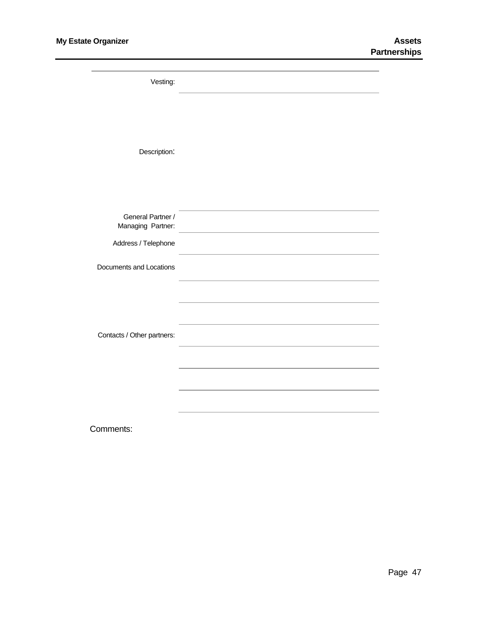| Vesting:                   |                                                                                                                      |
|----------------------------|----------------------------------------------------------------------------------------------------------------------|
|                            |                                                                                                                      |
|                            |                                                                                                                      |
| Description:               |                                                                                                                      |
|                            |                                                                                                                      |
|                            |                                                                                                                      |
| General Partner /          |                                                                                                                      |
| Managing Partner:          | <u> 1980 - Johann Barn, amerikan bestemannten bestemannten bestemannten bestemannten bestemannten bestemannten b</u> |
| Address / Telephone        |                                                                                                                      |
| Documents and Locations    |                                                                                                                      |
|                            |                                                                                                                      |
|                            |                                                                                                                      |
| Contacts / Other partners: |                                                                                                                      |
|                            |                                                                                                                      |
|                            |                                                                                                                      |
|                            |                                                                                                                      |
|                            |                                                                                                                      |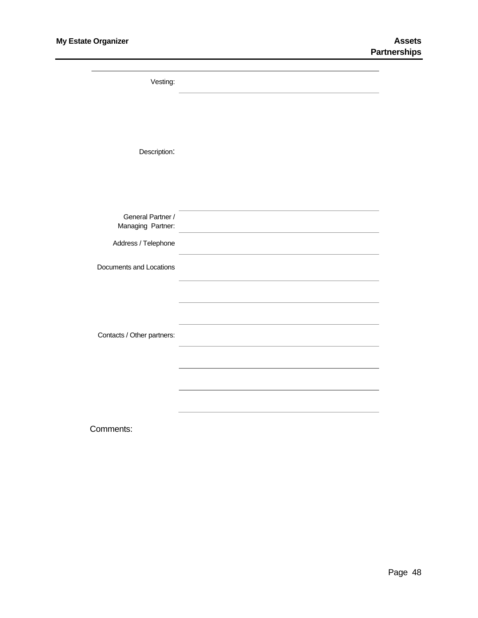| Vesting:                               |                                                              |
|----------------------------------------|--------------------------------------------------------------|
|                                        |                                                              |
| Description:                           |                                                              |
|                                        |                                                              |
|                                        |                                                              |
| General Partner /<br>Managing Partner: | <u> 1989 - Johann Barbara, martxa eta batarra (h. 1989).</u> |
| Address / Telephone                    |                                                              |
| Documents and Locations                |                                                              |
|                                        |                                                              |
|                                        |                                                              |
| Contacts / Other partners:             |                                                              |
|                                        |                                                              |
|                                        |                                                              |
|                                        |                                                              |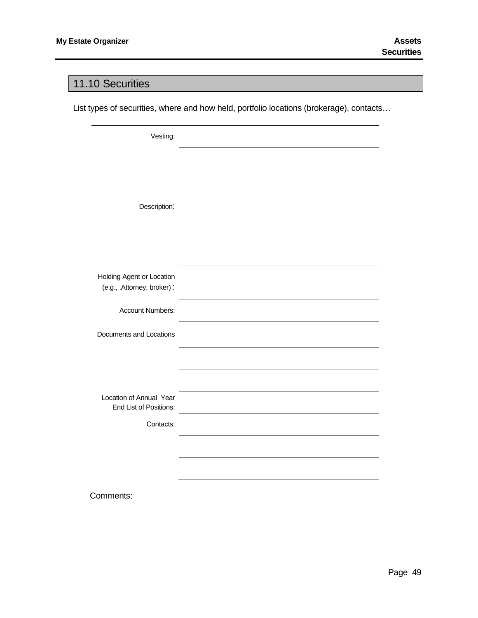#### <span id="page-51-0"></span>11.10 Securities

List types of securities, where and how held, portfolio locations (brokerage), contacts…

Vesting:

Description:

Holding Agent or Location (e.g., ,Attorney, broker) :

Account Numbers:

Documents and Locations

Location of Annual Year End List of Positions:

Contacts: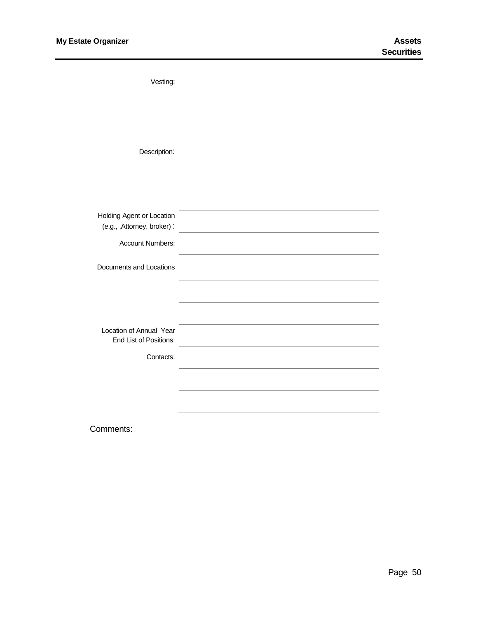| Vesting:                                          |  |
|---------------------------------------------------|--|
|                                                   |  |
|                                                   |  |
| Description:                                      |  |
|                                                   |  |
| Holding Agent or Location                         |  |
| (e.g., ,Attorney, broker):                        |  |
| Account Numbers:                                  |  |
| Documents and Locations                           |  |
|                                                   |  |
|                                                   |  |
| Location of Annual Year<br>End List of Positions: |  |
| Contacts:                                         |  |
|                                                   |  |
|                                                   |  |
|                                                   |  |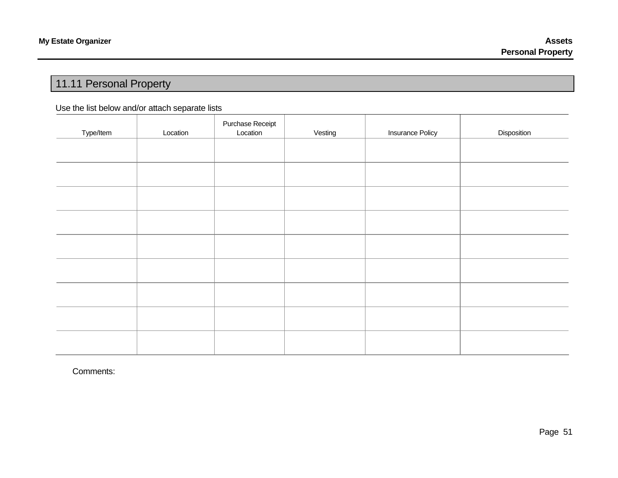# 11.11 Personal Property

#### Use the list below and/or attach separate lists

<span id="page-53-0"></span>

| Type/Item | Location | Purchase Receipt<br>Location | Vesting | <b>Insurance Policy</b> | Disposition |
|-----------|----------|------------------------------|---------|-------------------------|-------------|
|           |          |                              |         |                         |             |
|           |          |                              |         |                         |             |
|           |          |                              |         |                         |             |
|           |          |                              |         |                         |             |
|           |          |                              |         |                         |             |
|           |          |                              |         |                         |             |
|           |          |                              |         |                         |             |
|           |          |                              |         |                         |             |
|           |          |                              |         |                         |             |
|           |          |                              |         |                         |             |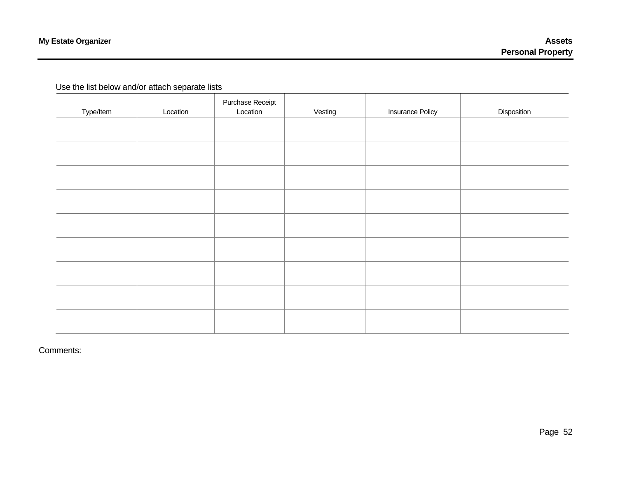#### Use the list below and/or attach separate lists

| Type/Item | Location | Purchase Receipt<br>Location | Vesting | <b>Insurance Policy</b> | Disposition |
|-----------|----------|------------------------------|---------|-------------------------|-------------|
|           |          |                              |         |                         |             |
|           |          |                              |         |                         |             |
|           |          |                              |         |                         |             |
|           |          |                              |         |                         |             |
|           |          |                              |         |                         |             |
|           |          |                              |         |                         |             |
|           |          |                              |         |                         |             |
|           |          |                              |         |                         |             |
|           |          |                              |         |                         |             |
|           |          |                              |         |                         |             |
|           |          |                              |         |                         |             |
|           |          |                              |         |                         |             |
|           |          |                              |         |                         |             |
|           |          |                              |         |                         |             |